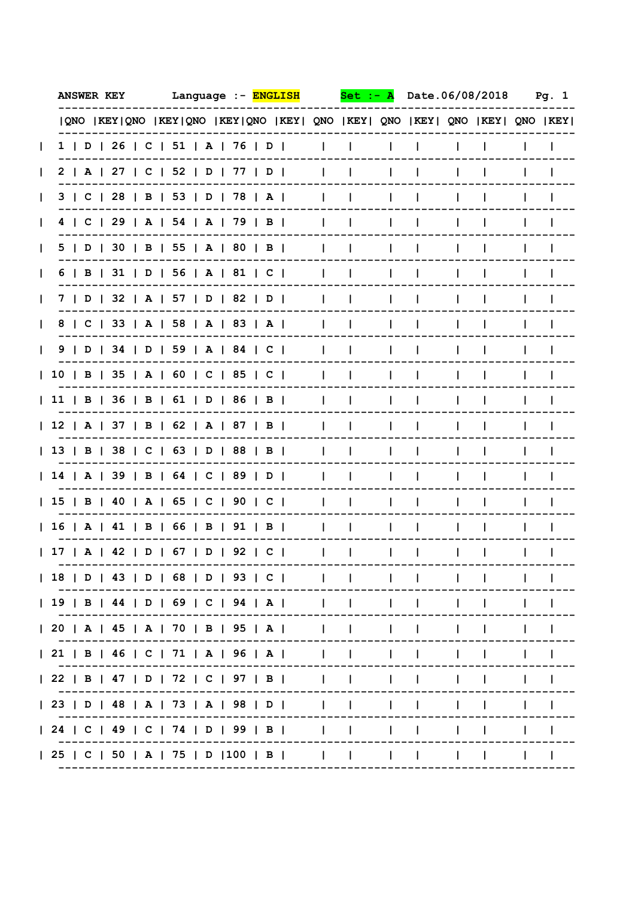| <b>ANSWER KEY</b>                                                           | Language :- ENGLISH |              | Set          |              | Date.06/08/2018 |    |  | Pg. 1 |
|-----------------------------------------------------------------------------|---------------------|--------------|--------------|--------------|-----------------|----|--|-------|
| QNO  KEY QNO  KEY QNO  KEY QNO  KEY  QNO  KEY  QNO  KEY  QNO  KEY  QNO  KEY |                     |              |              |              |                 |    |  |       |
| 1   D   26   C   51   A   76   D                                            |                     | I.           | $\mathbf{I}$ | L            | $\mathbf{I}$    |    |  |       |
| 2   A   27   C   52   D   77   D                                            |                     | I.           | $\mathbf{L}$ | L            | $\mathbf{I}$    | I. |  |       |
| 3   C   28   B   53   D   78   A                                            |                     | $\mathbf{I}$ | $\mathbf{I}$ | L            | $\mathbf{I}$    |    |  |       |
| 4   C   29   A   54   A   79   B                                            |                     | $\mathbf{I}$ | $\mathbf{I}$ | L            | $\mathbf{I}$    |    |  |       |
| 5   D   30   B   55   A   80   B                                            |                     | $\mathbf{I}$ | I.           | L            | $\mathbf{I}$    |    |  |       |
| $6$   B   31   D   56   A   81   C                                          |                     | $\mathbf{I}$ | $\mathbf{I}$ | $\mathbf{L}$ | $\mathbf{I}$    |    |  |       |
| 7   D   32   A   57   D   82   D                                            |                     | $\mathbf{I}$ | $\mathbf{I}$ | $\mathbf{L}$ | $\mathbf{I}$    |    |  |       |
| 8   C   33   A   58   A   83   A                                            |                     | $\mathbf{I}$ | $\mathbf{I}$ | $\mathbf{L}$ | $\mathbf{I}$    |    |  |       |
| 9   D   34   D   59   A   84   C                                            |                     | $\mathbf{I}$ | $\mathbf{I}$ | $\mathbf{L}$ | $\mathbf{I}$    |    |  |       |
| 10   B   35   A   60   C   85   C                                           |                     | $\mathbf{I}$ | $\mathbf{I}$ | $\mathbf{L}$ | $\mathbf{I}$    |    |  |       |
| 11   B   36   B   61   D   86   B                                           |                     | $\mathbf{I}$ | $\mathbf{I}$ | I.           | I.              |    |  |       |
| 12   A   37   B   62   A   87   B                                           |                     | L            | Ι.           | L            | I.              |    |  |       |
| 13   B   38   C   63   D   88   B                                           |                     |              | $\mathbf{I}$ | $\mathbf{I}$ | L               |    |  |       |
| 14   A   39   B   64   C   89   D                                           |                     |              |              | L            |                 |    |  |       |
| 15   B   40   A   65   C   90   C                                           |                     |              |              |              |                 |    |  |       |
| 16   A   41   B   66   B   91   B                                           |                     |              |              |              |                 |    |  |       |
| 17   A   42   D   67   D   92   C                                           |                     |              |              |              |                 |    |  |       |
| 18   D   43   D   68   D   93   C                                           |                     |              |              |              |                 |    |  |       |
| 19   B   44   D   69   C   94   A                                           |                     |              |              |              |                 |    |  |       |
| 20   A   45   A   70   B   95   A                                           |                     |              |              |              |                 |    |  |       |
| 21   B   46   C   71   A   96   A                                           |                     |              |              |              |                 |    |  |       |
| 22   B   47   D   72   C   97   B                                           |                     |              |              |              |                 |    |  |       |
| 23   D   48   A   73   A   98   D                                           |                     |              |              |              |                 |    |  |       |
| 24   C   49   C   74   D   99   B                                           |                     |              |              |              |                 |    |  |       |
| 25   C   50   A   75   D   100   B                                          |                     |              |              |              |                 |    |  |       |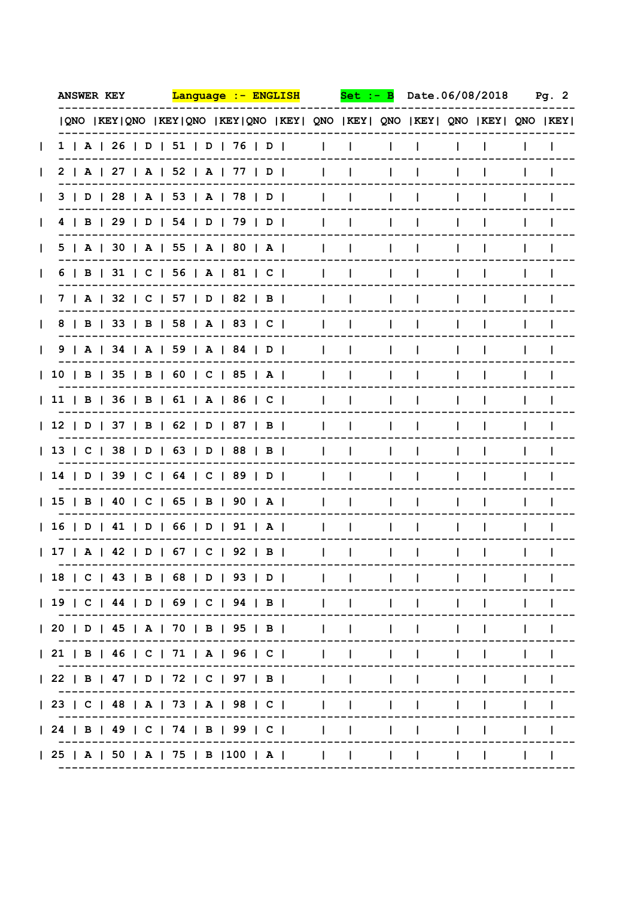| <b>ANSWER KEY</b> | <u> Lanquaqe :- ENGLISH</u>                                                 | Set                                          | Date.06/08/2018 | Pq.2 |
|-------------------|-----------------------------------------------------------------------------|----------------------------------------------|-----------------|------|
|                   | QNO  KEY QNO  KEY QNO  KEY QNO  KEY  QNO  KEY  QNO  KEY  QNO  KEY  QNO  KEY |                                              |                 |      |
|                   | 1   A   26   D   51   D   76   D                                            | $\mathbf{L}$<br>$\mathbf{L}$<br>L            | I.              |      |
|                   | 2   A   27   A   52   A   77   D                                            | $\mathbf{I}$<br>$\mathbf{L}$<br>L            | I.<br>I.        |      |
|                   | 3   D   28   A   53   A   78   D                                            | $\mathbf{I}$<br>$\mathbf{L}$<br>L            | $\mathbf{I}$    |      |
|                   | 4   B   29   D   54   D   79   D                                            | $\mathbf{I}$<br>$\mathbf{L}$<br>L            | $\mathbf{I}$    |      |
|                   | 5   A   30   A   55   A   80   A                                            | $\mathbf{L}$<br>$\mathbf{L}$<br>$\mathbf{I}$ | $\mathbf{L}$    |      |
|                   | 6   B   31   C   56   A   81   C                                            | $\mathbf{I}$<br>$\mathbf{L}$<br>$\mathbf{L}$ | $\mathbf{I}$    |      |
|                   | 7   A   32   C   57   D   82   B                                            | $\mathbf{I}$<br>$\mathbf{L}$<br>$\mathbf{L}$ | $\mathbf{I}$    |      |
|                   | 8   B   33   B   58   A   83   C                                            | $\mathbf{I}$<br>$\mathbf{I}$<br>$\mathbf{L}$ | I.              |      |
|                   | $9$   A   34   A   59   A   84   D                                          | $\mathbf{L}$<br>$\mathbf{I}$<br>$\mathbf{L}$ | $\mathbf{I}$    |      |
|                   | 10   B   35   B   60   C   85   A                                           | $\mathbf{I}$<br>$\mathbf{L}$<br>$\mathbf{L}$ | Ι.              |      |
|                   | 11   B   36   B   61   A   86   C                                           | $\mathbf{L}$<br>$\mathbf{I}$<br>$\mathbf{L}$ | $\mathbf{I}$    |      |
|                   | 12   D   37   B   62   D   87   B                                           | $\mathbf{I}$<br>I.<br>L                      | I.              |      |
|                   | 13   C   38   D   63   D   88   B                                           | Ι.<br>$\mathbf{I}$                           | $\mathbf{I}$    |      |
|                   | 14   D   39   C   64   C   89   D                                           | L                                            |                 |      |
|                   | 15   B   40   C   65   B   90   A                                           |                                              |                 |      |
|                   | 16   D   41   D   66   D   91   A                                           |                                              |                 |      |
|                   | 17   A   42   D   67   C   92   B                                           |                                              |                 |      |
|                   | 18   C   43   B   68   D   93   D                                           |                                              |                 |      |
|                   | 19   C   44   D   69   C   94   B                                           |                                              |                 |      |
|                   | 20   D   45   A   70   B   95   B                                           |                                              |                 |      |
|                   | 21   B   46   C   71   A   96   C                                           |                                              |                 |      |
|                   | 22   B   47   D   72   C   97   B                                           |                                              |                 |      |
|                   | 23   C   48   A   73   A   98   C                                           |                                              |                 |      |
|                   | 24   B   49   C   74   B   99   C                                           |                                              |                 |      |
|                   | 25   A   50   A   75   B   100   A                                          |                                              |                 |      |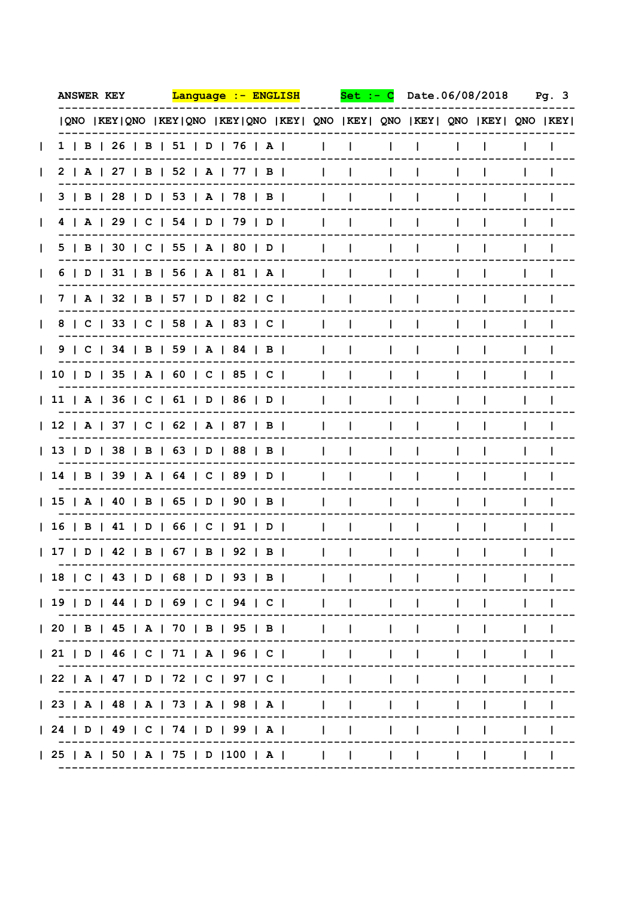| <b>ANSWER KEY</b> | <u> Lanquaqe :- ENGLISH</u>                                                 | Set                                          | Date.06/08/2018    | Pg.3 |
|-------------------|-----------------------------------------------------------------------------|----------------------------------------------|--------------------|------|
|                   | QNO  KEY QNO  KEY QNO  KEY QNO  KEY  QNO  KEY  QNO  KEY  QNO  KEY  QNO  KEY |                                              |                    |      |
|                   | 1   B   26   B   51   D   76   A                                            | $\mathbf{L}$<br>$\mathbf{I}$<br>L            | I.                 |      |
|                   | 2   A   27   B   52   A   77   B                                            | $\mathbf{I}$<br>$\mathbf{L}$<br>L            | I.<br>$\mathbf{I}$ |      |
|                   | $3$   B   28   D   53   A   78   B                                          | $\mathbf{I}$<br>$\mathbf{I}$<br>L            | $\mathbf{I}$       |      |
|                   | 4   A   29   C   54   D   79   D                                            | $\mathbf{I}$<br>$\mathbf{I}$<br>L            | $\mathbf{I}$       |      |
|                   | 5   B   30   C   55   A   80   D                                            | $\mathbf{I}$<br>$\mathbf{I}$<br>L            | $\mathbf{I}$       |      |
|                   | 6   D   31   B   56   A   81   A                                            | $\mathbf{I}$<br>$\mathbf{I}$<br>$\mathbf{L}$ | $\mathbf{L}$       |      |
|                   | 7   A   32   B   57   D   82   C                                            | $\mathbf{I}$<br>$\mathbf{I}$<br>$\mathbf{L}$ | $\mathbf{I}$       |      |
|                   | 8   C   33   C   58   A   83   C                                            | $\mathbf{I}$<br>$\mathbf{I}$<br>$\mathbf{L}$ | $\mathbf{I}$       |      |
|                   | 9   C   34   B   59   A   84   B                                            | $\mathbf{I}$<br>$\mathbf{I}$<br>$\mathbf{L}$ | $\mathbf{I}$       |      |
|                   | 10   D   35   A   60   C   85   C                                           | $\mathbf{I}$<br>$\mathbf{I}$<br>$\mathbf{L}$ | I.                 |      |
|                   | 11   A   36   C   61   D   86   D                                           | $\mathbf{I}$<br>$\mathbf{I}$<br>$\mathbf{L}$ | Ι.                 |      |
|                   | 12   A   37   C   62   A   87   B                                           | L<br>Ι.<br>I.                                | I.                 |      |
|                   | 13   D   38   B   63   D   88   B                                           | L<br>I.<br>I.                                | I.                 |      |
|                   | 14   B   39   A   64   C   89   D                                           |                                              |                    |      |
|                   | 15   A   40   B   65   D   90   B                                           |                                              |                    |      |
|                   | 16   B   41   D   66   C   91   D                                           |                                              |                    |      |
|                   | 17   D   42   B   67   B   92   B                                           |                                              |                    |      |
|                   | 18   C   43   D   68   D   93   B                                           |                                              |                    |      |
|                   | 19   D   44   D   69   C   94   C                                           |                                              |                    |      |
|                   | 20   B   45   A   70   B   95   B                                           |                                              |                    |      |
|                   | 21   D   46   C   71   A   96   C                                           |                                              |                    |      |
|                   | 22   A   47   0   72   C   97   C                                           |                                              |                    |      |
|                   |                                                                             |                                              |                    |      |
|                   | 24   D   49   C   74   D   99   A                                           |                                              |                    |      |
|                   |                                                                             |                                              |                    |      |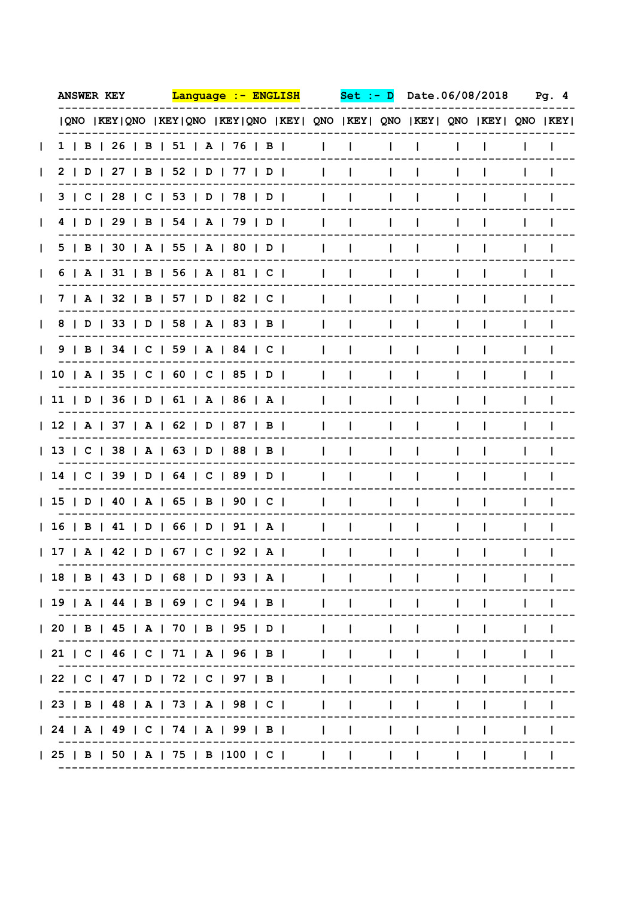| <b>ANSWER KEY</b> | <u> Lanquaqe :- ENGLISH</u>                                                                                                                                                                                                                                                                    |              | Set          |              | Date.06/08/2018 |    |  | Pa. 4 |
|-------------------|------------------------------------------------------------------------------------------------------------------------------------------------------------------------------------------------------------------------------------------------------------------------------------------------|--------------|--------------|--------------|-----------------|----|--|-------|
|                   | QNO  KEY QNO  KEY QNO  KEY QNO  KEY  QNO  KEY  QNO  KEY  QNO  KEY  QNO  KEY                                                                                                                                                                                                                    |              |              |              |                 |    |  |       |
|                   | $1$   B   26   B   51   A   76   B                                                                                                                                                                                                                                                             | $\mathbf{L}$ | $\mathbf{L}$ | L            | I.              |    |  |       |
|                   | 2   D   27   B   52   D   77   D                                                                                                                                                                                                                                                               | $\mathbf{L}$ | $\mathbf{L}$ | L            | I.              | I. |  |       |
|                   | 3   C   28   C   53   D   78   D                                                                                                                                                                                                                                                               | $\mathbf{I}$ | $\mathbf{L}$ | L            | $\mathbf{I}$    |    |  |       |
|                   | 4   D   29   B   54   A   79   D                                                                                                                                                                                                                                                               | $\mathbf{I}$ | $\mathbf{I}$ | $\mathbf{L}$ | $\mathbf{I}$    |    |  |       |
|                   | 5   B   30   A   55   A   80   D                                                                                                                                                                                                                                                               | $\mathbf{I}$ | $\mathbf{I}$ | L            | $\mathbf{I}$    |    |  |       |
|                   | 6   A   31   B   56   A   81   C                                                                                                                                                                                                                                                               | $\mathbf{I}$ | $\mathbf{I}$ | $\mathbf{L}$ | $\mathbf{I}$    |    |  |       |
|                   | 7   A   32   B   57   D   82   C                                                                                                                                                                                                                                                               | $\mathbf{I}$ | $\mathbf{I}$ | $\mathbf{L}$ | $\mathbf{I}$    |    |  |       |
|                   | 8   D   33   D   58   A   83   B                                                                                                                                                                                                                                                               | $\mathbf{I}$ | $\mathbf{I}$ | $\mathbf{L}$ | $\mathbf{I}$    |    |  |       |
|                   | 9   B   34   C   59   A   84   C                                                                                                                                                                                                                                                               | $\mathbf{L}$ | $\mathbf{I}$ | $\mathbf{L}$ | $\mathbf{I}$    |    |  |       |
|                   | 10   A   35   C   60   C   85   D                                                                                                                                                                                                                                                              | $\mathbf{L}$ | $\mathbf{I}$ | $\mathbf{L}$ | $\mathbf{I}$    |    |  |       |
|                   | 11   D   36   D   61   A   86   A                                                                                                                                                                                                                                                              | $\mathbf{I}$ | $\mathbf{I}$ | $\mathbf{L}$ | $\mathbf{I}$    |    |  |       |
|                   | 12   A   37   A   62   D   87   B                                                                                                                                                                                                                                                              | $\mathbf{I}$ | Ι.           | L            | I.              |    |  |       |
|                   | 13   C   38   A   63   D   88   B                                                                                                                                                                                                                                                              | L            | Ι.           | I.           | I.              |    |  |       |
|                   | 14   C   39   D   64   C   89   D                                                                                                                                                                                                                                                              |              |              | L            |                 |    |  |       |
|                   | 15   D   40   A   65   B   90   C                                                                                                                                                                                                                                                              |              |              |              |                 |    |  |       |
|                   | 16   B   41   D   66   D   91   A                                                                                                                                                                                                                                                              |              |              |              |                 |    |  |       |
|                   | 17   A   42   D   67   C   92   A                                                                                                                                                                                                                                                              |              |              |              |                 |    |  |       |
|                   | 18   B   43   D   68   D   93   A                                                                                                                                                                                                                                                              |              |              |              |                 |    |  |       |
|                   | 19   A   44   B   69   C   94   B   $\qquad$   $\qquad$   $\qquad$   $\qquad$   $\qquad$   $\qquad$   $\qquad$   $\qquad$   $\qquad$   $\qquad$   $\qquad$   $\qquad$   $\qquad$   $\qquad$   $\qquad$   $\qquad$   $\qquad$   $\qquad$   $\qquad$   $\qquad$   $\qquad$   $\qquad$   $\qquad$ |              |              |              |                 |    |  |       |
|                   | 20   B   45   A   70   B   95   D                                                                                                                                                                                                                                                              |              |              |              |                 |    |  |       |
|                   | 21   C   46   C   71   A   96   B                                                                                                                                                                                                                                                              |              |              |              |                 |    |  |       |
|                   | 22   C   47   D   72   C   97   B                                                                                                                                                                                                                                                              |              |              |              |                 |    |  |       |
|                   | 23   B   48   A   73   A   98   C                                                                                                                                                                                                                                                              |              |              |              |                 |    |  |       |
|                   | 24   A   49   C   74   A   99   B                                                                                                                                                                                                                                                              |              |              |              |                 |    |  |       |
|                   | 25   B   50   A   75   B  100   C                                                                                                                                                                                                                                                              |              |              |              |                 |    |  |       |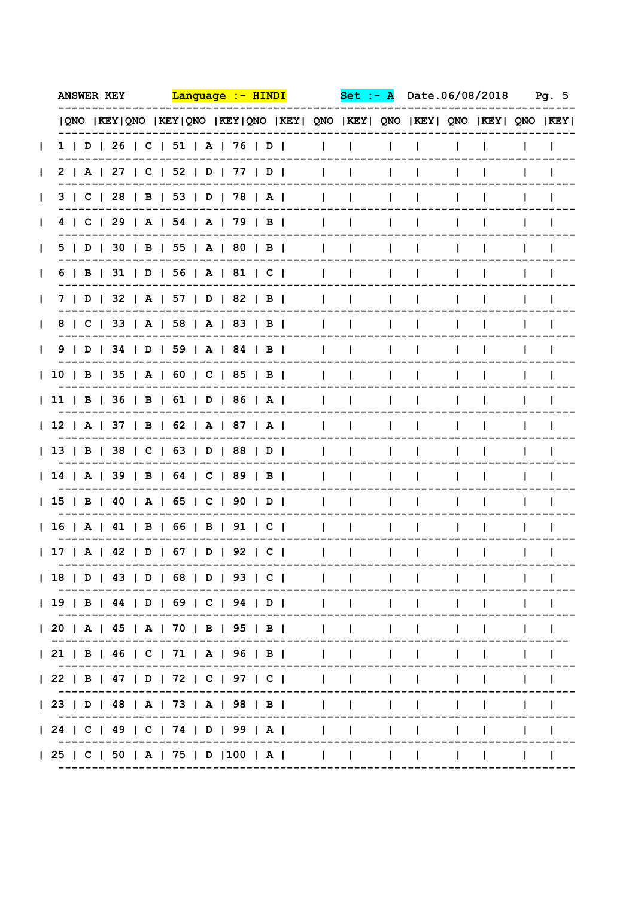| <b>ANSWER KEY</b> | <u> Lanquaqe :- HINDI</u>                                                   |              | Set          |              | Date.06/08/2018 |  |    | Pg. 5 |
|-------------------|-----------------------------------------------------------------------------|--------------|--------------|--------------|-----------------|--|----|-------|
|                   | QNO  KEY QNO  KEY QNO  KEY QNO  KEY  QNO  KEY  QNO  KEY  QNO  KEY  QNO  KEY |              |              |              |                 |  |    |       |
|                   | 1   D   26   C   51   A   76   D                                            | I.           | J.           | I.           | Ι.              |  |    |       |
|                   | 2   A   27   C   52   D   77   D                                            | $\mathbf{I}$ | $\mathbf{I}$ | L            | I.              |  |    |       |
|                   | 3   C   28   B   53   D   78   A                                            | $\mathbf{I}$ | $\mathbf{I}$ | L            | Ι.              |  |    |       |
|                   | 4   C   29   A   54   A   79   B                                            | $\mathbf{I}$ | $\mathbf{I}$ | L            | Ι.              |  |    |       |
|                   | 5   D   30   B   55   A   80   B                                            | I.           | $\mathbf{I}$ | $\mathbf{L}$ | I.              |  |    |       |
|                   | 6   B   31   D   56   A   81   C                                            | $\mathbf{I}$ | $\mathbf{I}$ | $\mathbf{L}$ | I.              |  | L  |       |
|                   | 7   D   32   A   57   D   82   B                                            | $\mathbf{I}$ | $\mathbf{I}$ | $\mathbf{L}$ | $\mathbf{I}$    |  | Ι. |       |
|                   | 8   C   33   A   58   A   83   B                                            | $\mathbf{I}$ | J.           | $\mathbf{L}$ | $\mathbf{I}$    |  |    |       |
|                   | 9   D   34   D   59   A   84   B                                            | $\mathbf{I}$ | J.           | I.           | $\mathbf{I}$    |  |    |       |
|                   | 10   B   35   A   60   C   85   B                                           | $\mathbf{I}$ | $\mathbf{I}$ | I.           | $\mathbf{I}$    |  |    |       |
|                   | 11   B   36   B   61   D   86   A                                           | $\mathbf{I}$ | J.           | I.           | $\mathbf{I}$    |  |    |       |
|                   | 12   A   37   B   62   A   87   A                                           | Ι.           | -1           | $\mathbf{L}$ | I.              |  |    |       |
|                   | 13   B   38   C   63   D   88   D                                           |              |              | $\mathbf{I}$ | I.              |  |    |       |
|                   | 14   A   39   B   64   C   89   B                                           |              |              | I.           |                 |  |    |       |
|                   | 15   B   40   A   65   C   90   D                                           |              |              | L            |                 |  |    |       |
|                   | 16   A   41   B   66   B   91   C                                           |              |              |              |                 |  |    |       |
|                   | 17   A   42   D   67   D   92   C                                           |              |              |              |                 |  |    |       |
|                   | 18   D   43   D   68   D   93   C                                           |              |              |              |                 |  |    |       |
|                   |                                                                             |              |              |              |                 |  |    |       |
|                   | 20   A   45   A   70   B   95   B                                           |              |              |              |                 |  |    |       |
|                   | 21   B   46   C   71   A   96   B                                           |              |              |              |                 |  |    |       |
|                   | 22   B   47   D   72   C   97   C                                           |              |              |              |                 |  |    |       |
|                   | 23   D   48   A   73   A   98   B                                           |              |              |              |                 |  |    |       |
|                   | 24   C   49   C   74   D   99   A                                           |              |              |              |                 |  |    |       |
|                   | 25   C   50   A   75   D   100   A                                          |              |              |              |                 |  |    |       |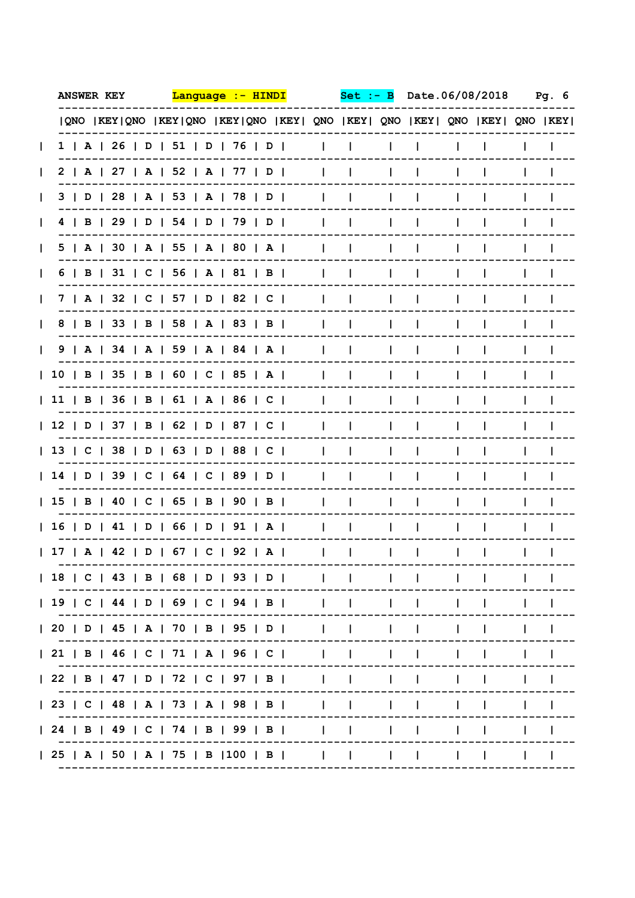| <b>ANSWER KEY</b> | <u> Lanquaqe :- HINDI</u>                                                   |              | Set          |              | Date.06/08/2018 |  |   | Pg. 6 |
|-------------------|-----------------------------------------------------------------------------|--------------|--------------|--------------|-----------------|--|---|-------|
|                   | QNO  KEY QNO  KEY QNO  KEY QNO  KEY  QNO  KEY  QNO  KEY  QNO  KEY  QNO  KEY |              |              |              |                 |  |   |       |
|                   | 1   A   26   D   51   D   76   D                                            | I.           | J.           | L            | $\mathbf{I}$    |  |   |       |
|                   | 2   A   27   A   52   A   77   D                                            | $\mathbf{I}$ | $\mathbf{L}$ | L            | I.              |  |   |       |
|                   | 3   D   28   A   53   A   78   D                                            | $\mathbf{I}$ | $\mathbf{I}$ | L            | Ι.              |  |   |       |
|                   | 4   B   29   D   54   D   79   D                                            | I.           | $\mathbf{I}$ | L            | Ι.              |  |   |       |
|                   | 5   A   30   A   55   A   80   A                                            | $\mathbf{I}$ | $\mathbf{I}$ | I.           | I.              |  |   |       |
|                   | 6   B   31   C   56   A   81   B                                            | $\mathbf{I}$ | $\mathbf{I}$ | $\mathbf{L}$ | $\mathbf{I}$    |  | L |       |
|                   | 7   A   32   C   57   D   82   C                                            | $\mathbf{I}$ | $\mathbf{I}$ | $\mathbf{L}$ | Ι.              |  |   |       |
|                   | 8   B   33   B   58   A   83   B                                            | $\mathbf{I}$ | J.           | $\mathbf{L}$ | Ι.              |  |   |       |
|                   | 9   A   34   A   59   A   84   A                                            | $\mathbf{I}$ | J.           | $\mathbf{L}$ | $\mathbf{I}$    |  |   |       |
|                   | 10   B   35   B   60   C   85   A                                           | $\mathbf{I}$ | $\mathbf{I}$ | I.           | $\mathbf{I}$    |  |   |       |
|                   | 11   B   36   B   61   A   86   C                                           | $\mathbf{I}$ | J.           | I.           | $\mathbf{I}$    |  | L |       |
|                   | 12   D   37   B   62   D   87   C                                           | I.           | $\mathbf{I}$ | $\mathbf{L}$ | I.              |  |   |       |
|                   | 13   C   38   D   63   D   88   C                                           | $\mathbf{I}$ |              | $\mathbf{I}$ | I.              |  |   |       |
|                   | 14   D   39   C   64   C   89   D                                           |              |              | I.           | L               |  |   |       |
|                   | 15   B   40   C   65   B   90   B                                           |              |              | I.           |                 |  |   |       |
|                   | 16   D   41   D   66   D   91   A                                           |              |              |              |                 |  |   |       |
|                   | 17   A   42   D   67   C   92   A                                           |              |              |              |                 |  |   |       |
|                   | 18   C   43   B   68   D   93   D                                           |              |              |              |                 |  |   |       |
|                   | 19   C   44   D   69   C   94   B                                           |              |              |              |                 |  |   |       |
|                   | 20   D   45   A   70   B   95   D                                           |              |              |              |                 |  |   |       |
|                   | 21   B   46   C   71   A   96   C                                           |              |              |              |                 |  |   |       |
|                   | 22   B   47   D   72   C   97   B                                           |              |              |              |                 |  |   |       |
|                   | 23   C   48   A   73   A   98   B                                           |              |              |              |                 |  |   |       |
|                   | 24   B   49   C   74   B   99   B                                           |              |              |              |                 |  |   |       |
|                   | 25   A   50   A   75   B   100   B                                          |              |              |              |                 |  |   |       |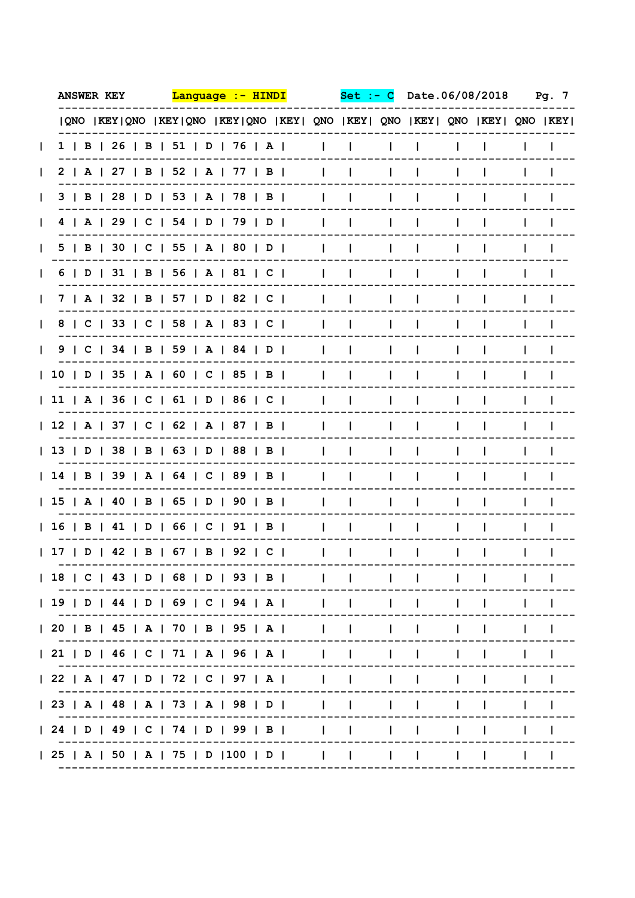| <b>ANSWER KEY</b> | <u> Lanquaqe :- HINDI</u>                                                   | $Set : -$                    |              |              | Date.06/08/2018 | Pg. 7 |
|-------------------|-----------------------------------------------------------------------------|------------------------------|--------------|--------------|-----------------|-------|
|                   | QNO  KEY QNO  KEY QNO  KEY QNO  KEY  QNO  KEY  QNO  KEY  QNO  KEY  QNO  KEY |                              |              |              |                 |       |
|                   | 1   B   26   B   51   D   76   A                                            | $\mathbf{I}$<br>$\mathbf{I}$ |              |              |                 |       |
|                   | 2   A   27   B   52   A   77   B                                            | $\mathbf{I}$<br>$\mathbf{L}$ | L            | I.           |                 |       |
|                   | $3$   B   28   D   53   A   78   B                                          | $\mathbf{I}$<br>$\mathbf{L}$ | L            | $\mathbf{I}$ | $\mathbf{I}$    |       |
|                   | 4   A   29   C   54   D   79   D                                            | $\mathbf{I}$<br>$\mathbf{L}$ | L            | $\mathbf{I}$ | I.              |       |
|                   | 5   B   30   C   55   A   80   D                                            | $\mathbf{I}$<br>$\mathbf{I}$ | L            | $\mathbf{I}$ | I.              |       |
|                   | 6   D   31   B   56   A   81   C                                            | $\mathbf{I}$<br>$\mathbf{I}$ | L            | $\mathbf{I}$ | I.              |       |
|                   | 7   A   32   B   57   D   82   C                                            | $\mathbf{I}$<br>$\mathbf{I}$ | L            | $\mathbf{L}$ | I.              |       |
|                   | 8   C   33   C   58   A   83   C                                            | $\mathbf{I}$<br>$\mathbf{L}$ | $\mathbf{L}$ | $\mathbf{I}$ | I.              |       |
|                   | 9   C   34   B   59   A   84   D                                            | $\mathbf{I}$<br>$\mathbf{L}$ | $\mathbf{L}$ | $\mathbf{I}$ |                 |       |
|                   | 10   D   35   A   60   C   85   B                                           | $\mathbf{L}$<br>$\mathbf{L}$ | $\mathbf{I}$ | $\mathbf{I}$ | Ι.              |       |
|                   | 11   A   36   C   61   D   86   C                                           | $\mathbf{I}$<br>$\mathbf{I}$ | $\mathbf{L}$ | $\mathbf{I}$ |                 |       |
|                   | 12   A   37   C   62   A   87   B                                           | $\mathbf{I}$<br>$\mathbf{I}$ | $\mathbf{L}$ | $\mathbf{I}$ |                 |       |
|                   | 13   D   38   B   63   D   88   B                                           | $\mathbf{I}$<br>$\mathbf{I}$ | L            | $\mathbf{I}$ |                 |       |
|                   | 14   B   39   A   64   C   89   B                                           | $\mathbf{I}$<br>Ι.           | I.           | I.           |                 |       |
|                   | 15   A   40   B   65   D   90   B                                           | Ι.                           |              | I.           |                 |       |
|                   | 16   B   41   D   66   C   91   B                                           |                              |              |              |                 |       |
|                   | 17   D   42   B   67   B   92   C                                           |                              |              |              |                 |       |
|                   | 18   C   43   D   68   D   93   B                                           |                              |              |              |                 |       |
|                   | 19   D   44   D   69   C   94   A                                           |                              |              |              |                 |       |
|                   | 20   B   45   A   70   B   95   A                                           |                              |              |              |                 |       |
|                   | 21   D   46   C   71   A   96   A                                           |                              |              |              |                 |       |
|                   | 22   A   47   D   72   C   97   A                                           |                              |              |              |                 |       |
|                   | 23   A   48   A   73   A   98   D                                           |                              |              |              |                 |       |
|                   | 24   D   49   C   74   D   99   B                                           |                              |              |              |                 |       |
|                   | 25   A   50   A   75   D   100   D                                          |                              |              |              |                 |       |